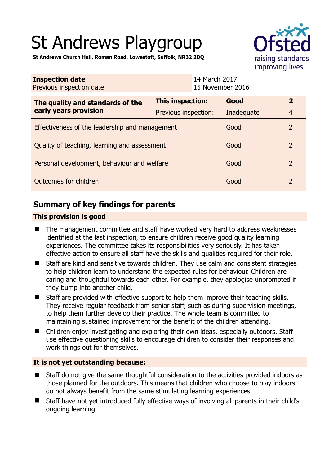# St Andrews Playgroup



**St Andrews Church Hall, Roman Road, Lowestoft, Suffolk, NR32 2DQ** 

| <b>Inspection date</b><br>Previous inspection date        |                         | 14 March 2017<br>15 November 2016 |            |                |
|-----------------------------------------------------------|-------------------------|-----------------------------------|------------|----------------|
| The quality and standards of the<br>early years provision | <b>This inspection:</b> |                                   | Good       | $\overline{2}$ |
|                                                           | Previous inspection:    |                                   | Inadequate | $\overline{4}$ |
| Effectiveness of the leadership and management            |                         |                                   | Good       | $\overline{2}$ |
| Quality of teaching, learning and assessment              |                         |                                   | Good       | $\overline{2}$ |
| Personal development, behaviour and welfare               |                         |                                   | Good       | $\overline{2}$ |
| Outcomes for children                                     |                         |                                   | Good       | $\overline{2}$ |

# **Summary of key findings for parents**

## **This provision is good**

- The management committee and staff have worked very hard to address weaknesses identified at the last inspection, to ensure children receive good quality learning experiences. The committee takes its responsibilities very seriously. It has taken effective action to ensure all staff have the skills and qualities required for their role.
- Staff are kind and sensitive towards children. They use calm and consistent strategies to help children learn to understand the expected rules for behaviour. Children are caring and thoughtful towards each other. For example, they apologise unprompted if they bump into another child.
- Staff are provided with effective support to help them improve their teaching skills. They receive regular feedback from senior staff, such as during supervision meetings, to help them further develop their practice. The whole team is committed to maintaining sustained improvement for the benefit of the children attending.
- Children enjov investigating and exploring their own ideas, especially outdoors. Staff use effective questioning skills to encourage children to consider their responses and work things out for themselves.

## **It is not yet outstanding because:**

- Staff do not give the same thoughtful consideration to the activities provided indoors as those planned for the outdoors. This means that children who choose to play indoors do not always benefit from the same stimulating learning experiences.
- Staff have not yet introduced fully effective ways of involving all parents in their child's ongoing learning.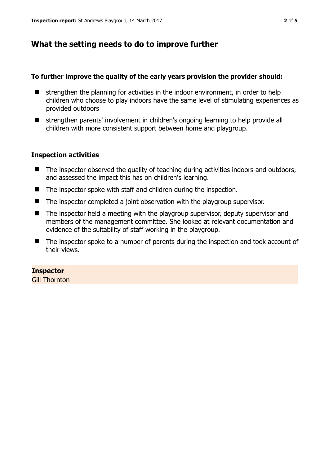# **What the setting needs to do to improve further**

#### **To further improve the quality of the early years provision the provider should:**

- $\blacksquare$  strengthen the planning for activities in the indoor environment, in order to help children who choose to play indoors have the same level of stimulating experiences as provided outdoors
- strengthen parents' involvement in children's ongoing learning to help provide all children with more consistent support between home and playgroup.

### **Inspection activities**

- The inspector observed the quality of teaching during activities indoors and outdoors, and assessed the impact this has on children's learning.
- The inspector spoke with staff and children during the inspection.
- The inspector completed a joint observation with the playgroup supervisor.
- The inspector held a meeting with the playgroup supervisor, deputy supervisor and members of the management committee. She looked at relevant documentation and evidence of the suitability of staff working in the playgroup.
- The inspector spoke to a number of parents during the inspection and took account of their views.

## **Inspector**

Gill Thornton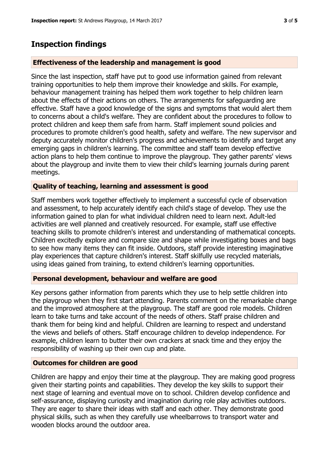## **Inspection findings**

#### **Effectiveness of the leadership and management is good**

Since the last inspection, staff have put to good use information gained from relevant training opportunities to help them improve their knowledge and skills. For example, behaviour management training has helped them work together to help children learn about the effects of their actions on others. The arrangements for safeguarding are effective. Staff have a good knowledge of the signs and symptoms that would alert them to concerns about a child's welfare. They are confident about the procedures to follow to protect children and keep them safe from harm. Staff implement sound policies and procedures to promote children's good health, safety and welfare. The new supervisor and deputy accurately monitor children's progress and achievements to identify and target any emerging gaps in children's learning. The committee and staff team develop effective action plans to help them continue to improve the playgroup. They gather parents' views about the playgroup and invite them to view their child's learning journals during parent meetings.

#### **Quality of teaching, learning and assessment is good**

Staff members work together effectively to implement a successful cycle of observation and assessment, to help accurately identify each child's stage of develop. They use the information gained to plan for what individual children need to learn next. Adult-led activities are well planned and creatively resourced. For example, staff use effective teaching skills to promote children's interest and understanding of mathematical concepts. Children excitedly explore and compare size and shape while investigating boxes and bags to see how many items they can fit inside. Outdoors, staff provide interesting imaginative play experiences that capture children's interest. Staff skilfully use recycled materials, using ideas gained from training, to extend children's learning opportunities.

#### **Personal development, behaviour and welfare are good**

Key persons gather information from parents which they use to help settle children into the playgroup when they first start attending. Parents comment on the remarkable change and the improved atmosphere at the playgroup. The staff are good role models. Children learn to take turns and take account of the needs of others. Staff praise children and thank them for being kind and helpful. Children are learning to respect and understand the views and beliefs of others. Staff encourage children to develop independence. For example, children learn to butter their own crackers at snack time and they enjoy the responsibility of washing up their own cup and plate.

#### **Outcomes for children are good**

Children are happy and enjoy their time at the playgroup. They are making good progress given their starting points and capabilities. They develop the key skills to support their next stage of learning and eventual move on to school. Children develop confidence and self-assurance, displaying curiosity and imagination during role play activities outdoors. They are eager to share their ideas with staff and each other. They demonstrate good physical skills, such as when they carefully use wheelbarrows to transport water and wooden blocks around the outdoor area.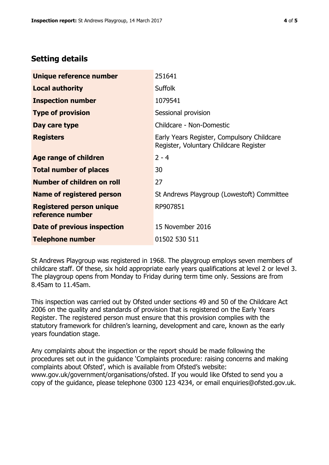# **Setting details**

| Unique reference number                             | 251641                                                                               |  |
|-----------------------------------------------------|--------------------------------------------------------------------------------------|--|
| <b>Local authority</b>                              | <b>Suffolk</b>                                                                       |  |
| <b>Inspection number</b>                            | 1079541                                                                              |  |
| <b>Type of provision</b>                            | Sessional provision                                                                  |  |
| Day care type                                       | Childcare - Non-Domestic                                                             |  |
| <b>Registers</b>                                    | Early Years Register, Compulsory Childcare<br>Register, Voluntary Childcare Register |  |
| <b>Age range of children</b>                        | $2 - 4$                                                                              |  |
| <b>Total number of places</b>                       | 30                                                                                   |  |
| Number of children on roll                          | 27                                                                                   |  |
| Name of registered person                           | St Andrews Playgroup (Lowestoft) Committee                                           |  |
| <b>Registered person unique</b><br>reference number | RP907851                                                                             |  |
| <b>Date of previous inspection</b>                  | 15 November 2016                                                                     |  |
| <b>Telephone number</b>                             | 01502 530 511                                                                        |  |

St Andrews Playgroup was registered in 1968. The playgroup employs seven members of childcare staff. Of these, six hold appropriate early years qualifications at level 2 or level 3. The playgroup opens from Monday to Friday during term time only. Sessions are from 8.45am to 11.45am.

This inspection was carried out by Ofsted under sections 49 and 50 of the Childcare Act 2006 on the quality and standards of provision that is registered on the Early Years Register. The registered person must ensure that this provision complies with the statutory framework for children's learning, development and care, known as the early years foundation stage.

Any complaints about the inspection or the report should be made following the procedures set out in the guidance 'Complaints procedure: raising concerns and making complaints about Ofsted', which is available from Ofsted's website: www.gov.uk/government/organisations/ofsted. If you would like Ofsted to send you a copy of the guidance, please telephone 0300 123 4234, or email enquiries@ofsted.gov.uk.